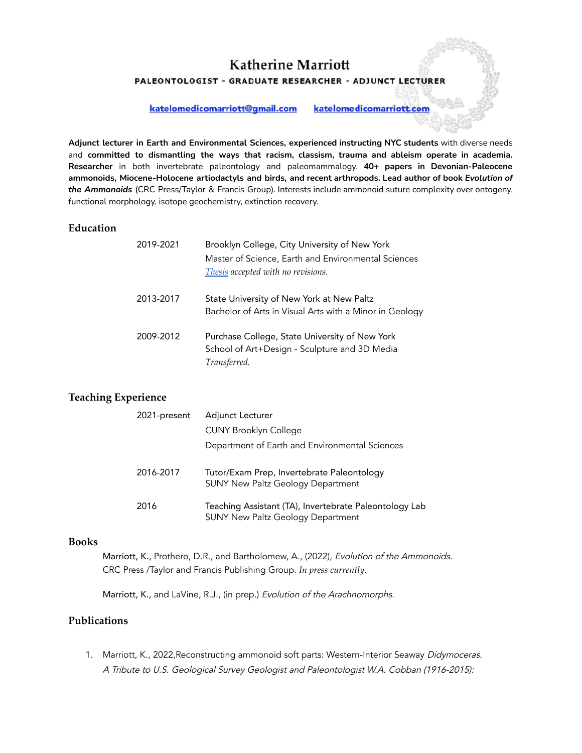PALEONTOLOGIST - GRADUATE RESEARCHER - ADJUNCT LECTURER

katelomedicomarriott@gmail.com

katelomedicomarriott.com

**Adjunct lecturer in Earth and Environmental Sciences, experienced instructing NYC students** with diverse needs and **committed to dismantling the ways that racism, classism, trauma and ableism operate in academia. Researcher** in both invertebrate paleontology and paleomammalogy. **40+ papers in Devonian-Paleocene ammonoids, Miocene-Holocene artiodactyls and birds, and recent arthropods. Lead author of book** *Evolution of the Ammonoids* (CRC Press/Taylor & Francis Group). Interests include ammonoid suture complexity over ontogeny, functional morphology, isotope geochemistry, extinction recovery.

#### **Education**

| 2019-2021 | Brooklyn College, City University of New York<br>Master of Science, Earth and Environmental Sciences<br>Thesis accepted with no revisions. |
|-----------|--------------------------------------------------------------------------------------------------------------------------------------------|
| 2013-2017 | State University of New York at New Paltz<br>Bachelor of Arts in Visual Arts with a Minor in Geology                                       |
| 2009-2012 | Purchase College, State University of New York<br>School of Art+Design - Sculpture and 3D Media<br>Transferred.                            |

## **Teaching Experience**

| 2021-present | Adjunct Lecturer                                                                                   |
|--------------|----------------------------------------------------------------------------------------------------|
|              | <b>CUNY Brooklyn College</b>                                                                       |
|              | Department of Earth and Environmental Sciences                                                     |
| 2016-2017    | Tutor/Exam Prep, Invertebrate Paleontology<br><b>SUNY New Paltz Geology Department</b>             |
| 2016         | Teaching Assistant (TA), Invertebrate Paleontology Lab<br><b>SUNY New Paltz Geology Department</b> |

#### **Books**

Marriott, K., Prothero, D.R., and Bartholomew, A., (2022), Evolution of the Ammonoids. CRC Press /Taylor and Francis Publishing Group. *In press currently.*

Marriott, K., and LaVine, R.J., (in prep.) Evolution of the Arachnomorphs.

#### **Publications**

1. Marriott, K., 2022, Reconstructing ammonoid soft parts: Western-Interior Seaway Didymoceras. A Tribute to U.S. Geological Survey Geologist and Paleontologist W.A. Cobban (1916-2015):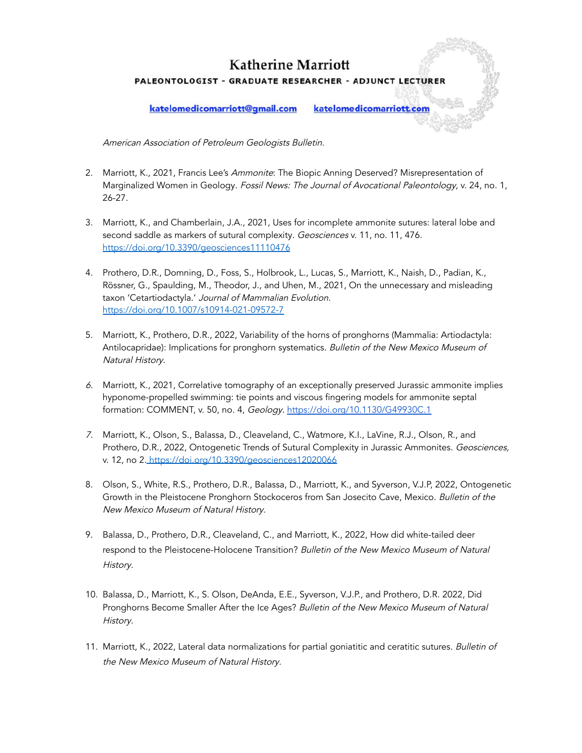# **Katherine Marriott** PALEONTOLOGIST - GRADUATE RESEARCHER - ADJUNCT LECTURER

katelomedicomarriott@gmail.com

katelomedicomarriott.com

American Association of Petroleum Geologists Bulletin.

- 2. Marriott, K., 2021, Francis Lee's Ammonite: The Biopic Anning Deserved? Misrepresentation of Marginalized Women in Geology. Fossil News: The Journal of Avocational Paleontology, v. 24, no. 1, 26-27.
- 3. Marriott, K., and Chamberlain, J.A., 2021, Uses for incomplete ammonite sutures: lateral lobe and second saddle as markers of sutural complexity. Geosciences v. 11, no. 11, 476. <https://doi.org/10.3390/geosciences11110476>
- 4. Prothero, D.R., Domning, D., Foss, S., Holbrook, L., Lucas, S., Marriott, K., Naish, D., Padian, K., Rössner, G., Spaulding, M., Theodor, J., and Uhen, M., 2021, On the unnecessary and misleading taxon 'Cetartiodactyla.' Journal of Mammalian Evolution. <https://doi.org/10.1007/s10914-021-09572-7>
- 5. Marriott, K., Prothero, D.R., 2022, Variability of the horns of pronghorns (Mammalia: Artiodactyla: Antilocapridae): Implications for pronghorn systematics. Bulletin of the New Mexico Museum of Natural History.
- 6. Marriott, K., 2021, Correlative tomography of an exceptionally preserved Jurassic ammonite implies hyponome-propelled swimming: tie points and viscous fingering models for ammonite septal formation: COMMENT, v. 50, no. 4, Geology. <https://doi.org/10.1130/G49930C.1>
- 7. Marriott, K., Olson, S., Balassa, D., Cleaveland, C., Watmore, K.I., LaVine, R.J., Olson, R., and Prothero, D.R., 2022, Ontogenetic Trends of Sutural Complexity in Jurassic Ammonites. Geosciences, v. 12, no 2. <https://doi.org/10.3390/geosciences12020066>
- 8. Olson, S., White, R.S., Prothero, D.R., Balassa, D., Marriott, K., and Syverson, V.J.P, 2022, Ontogenetic Growth in the Pleistocene Pronghorn Stockoceros from San Josecito Cave, Mexico. Bulletin of the New Mexico Museum of Natural History.
- 9. Balassa, D., Prothero, D.R., Cleaveland, C., and Marriott, K., 2022, How did white-tailed deer respond to the Pleistocene-Holocene Transition? Bulletin of the New Mexico Museum of Natural History.
- 10. Balassa, D., Marriott, K., S. Olson, DeAnda, E.E., Syverson, V.J.P., and Prothero, D.R. 2022, Did Pronghorns Become Smaller After the Ice Ages? Bulletin of the New Mexico Museum of Natural History.
- 11. Marriott, K., 2022, Lateral data normalizations for partial goniatitic and ceratitic sutures. Bulletin of the New Mexico Museum of Natural History.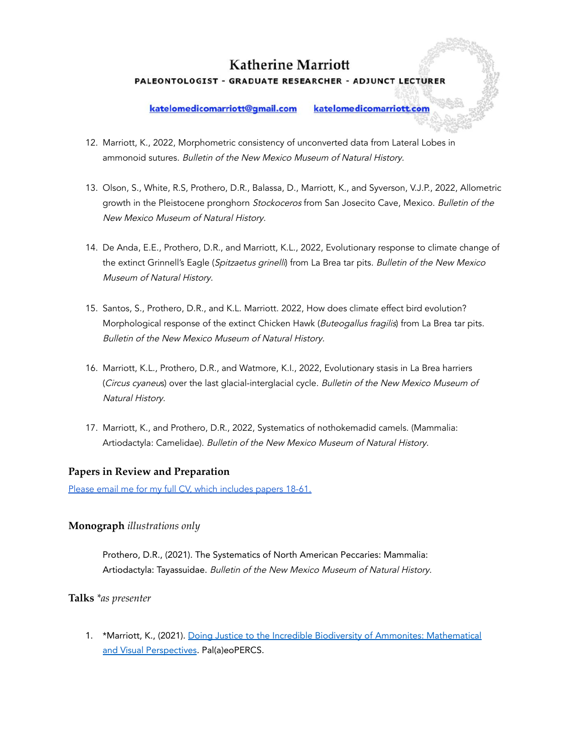# **Katherine Marriott** PALEONTOLOGIST - GRADUATE RESEARCHER - ADJUNCT LECTURER

#### katelomedicomarriott@gmail.com

katelomedicomarriott.com

- 12. Marriott, K., 2022, Morphometric consistency of unconverted data from Lateral Lobes in ammonoid sutures. Bulletin of the New Mexico Museum of Natural History.
- 13. Olson, S., White, R.S, Prothero, D.R., Balassa, D., Marriott, K., and Syverson, V.J.P., 2022, Allometric growth in the Pleistocene pronghorn Stockoceros from San Josecito Cave, Mexico. Bulletin of the New Mexico Museum of Natural History.
- 14. De Anda, E.E., Prothero, D.R., and Marriott, K.L., 2022, Evolutionary response to climate change of the extinct Grinnell's Eagle (Spitzaetus grinelli) from La Brea tar pits. Bulletin of the New Mexico Museum of Natural History.
- 15. Santos, S., Prothero, D.R., and K.L. Marriott. 2022, How does climate effect bird evolution? Morphological response of the extinct Chicken Hawk (Buteogallus fragilis) from La Brea tar pits. Bulletin of the New Mexico Museum of Natural History.
- 16. Marriott, K.L., Prothero, D.R., and Watmore, K.I., 2022, Evolutionary stasis in La Brea harriers (Circus cyaneus) over the last glacial-interglacial cycle. Bulletin of the New Mexico Museum of Natural History.
- 17. Marriott, K., and Prothero, D.R., 2022, Systematics of nothokemadid camels. (Mammalia: Artiodactyla: Camelidae). Bulletin of the New Mexico Museum of Natural History.

#### **Papers in Review and Preparation**

Please email me for my full CV, which [includes](mailto:katelomedicomarriott@gmail.com) papers 18-61.

#### **Monograph** *illustrations only*

Prothero, D.R., (2021). The Systematics of North American Peccaries: Mammalia: Artiodactyla: Tayassuidae. Bulletin of the New Mexico Museum of Natural History.

**Talks** *\*as presenter*

1. \*Marriott, K., (2021). Doing Justice to the Incredible Biodiversity of Ammonites: [Mathematical](https://d.docs.live.net/4ccfcd81839e5fd2/Documents/Pal(a)eoPERCS%20-%20Kate%20LoMedico%20Marriott%20-%20YouTube) and Visual [Perspectives](https://d.docs.live.net/4ccfcd81839e5fd2/Documents/Pal(a)eoPERCS%20-%20Kate%20LoMedico%20Marriott%20-%20YouTube). Pal(a)eoPERCS.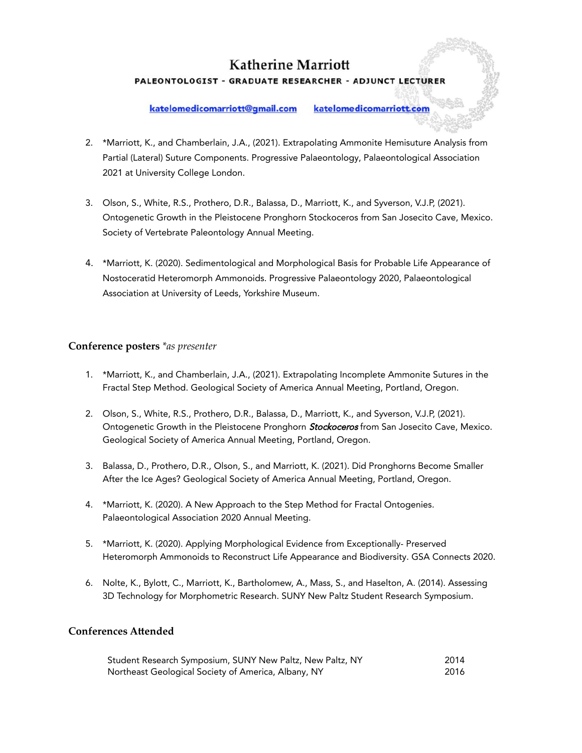# **Katherine Marriott** PALEONTOLOGIST - GRADUATE RESEARCHER - ADJUNCT LECTURER

#### katelomedicomarriott@gmail.com

katelomedicomarriott.com

- 2. \*Marriott, K., and Chamberlain, J.A., (2021). Extrapolating Ammonite Hemisuture Analysis from Partial (Lateral) Suture Components. Progressive Palaeontology, Palaeontological Association 2021 at University College London.
- 3. Olson, S., White, R.S., Prothero, D.R., Balassa, D., Marriott, K., and Syverson, V.J.P, (2021). Ontogenetic Growth in the Pleistocene Pronghorn Stockoceros from San Josecito Cave, Mexico. Society of Vertebrate Paleontology Annual Meeting.
- 4. \*Marriott, K. (2020). Sedimentological and Morphological Basis for Probable Life Appearance of Nostoceratid Heteromorph Ammonoids. Progressive Palaeontology 2020, Palaeontological Association at University of Leeds, Yorkshire Museum.

#### **Conference posters** *\*as presenter*

- 1. \*Marriott, K., and Chamberlain, J.A., (2021). Extrapolating Incomplete Ammonite Sutures in the Fractal Step Method. Geological Society of America Annual Meeting, Portland, Oregon.
- 2. Olson, S., White, R.S., Prothero, D.R., Balassa, D., Marriott, K., and Syverson, V.J.P, (2021). Ontogenetic Growth in the Pleistocene Pronghorn Stockoceros from San Josecito Cave, Mexico. Geological Society of America Annual Meeting, Portland, Oregon.
- 3. Balassa, D., Prothero, D.R., Olson, S., and Marriott, K. (2021). Did Pronghorns Become Smaller After the Ice Ages? Geological Society of America Annual Meeting, Portland, Oregon.
- 4. \*Marriott, K. (2020). A New Approach to the Step Method for Fractal Ontogenies. Palaeontological Association 2020 Annual Meeting.
- 5. \*Marriott, K. (2020). Applying Morphological Evidence from Exceptionally- Preserved Heteromorph Ammonoids to Reconstruct Life Appearance and Biodiversity. GSA Connects 2020.
- 6. Nolte, K., Bylott, C., Marriott, K., Bartholomew, A., Mass, S., and Haselton, A. (2014). Assessing 3D Technology for Morphometric Research. SUNY New Paltz Student Research Symposium.

### **Conferences Attended**

| Student Research Symposium, SUNY New Paltz, New Paltz, NY | 2014 |
|-----------------------------------------------------------|------|
| Northeast Geological Society of America, Albany, NY       | 2016 |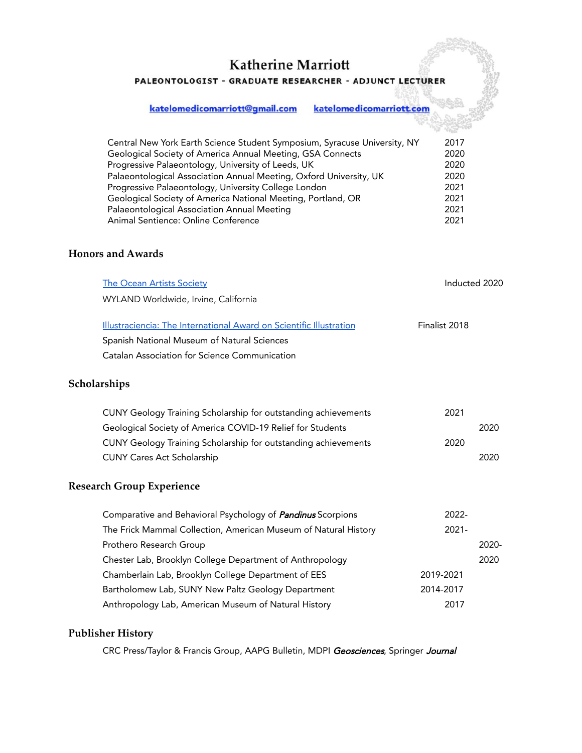PALEONTOLOGIST - GRADUATE RESEARCHER - ADJUNCT LECTURER

katelomedicomarriott@gmail.com katelomedicomarriott.com

| Central New York Earth Science Student Symposium, Syracuse University, NY | 2017 |
|---------------------------------------------------------------------------|------|
| Geological Society of America Annual Meeting, GSA Connects                | 2020 |
| Progressive Palaeontology, University of Leeds, UK                        | 2020 |
| Palaeontological Association Annual Meeting, Oxford University, UK        | 2020 |
| Progressive Palaeontology, University College London                      | 2021 |
| Geological Society of America National Meeting, Portland, OR              | 2021 |
| Palaeontological Association Annual Meeting                               | 2021 |
| Animal Sentience: Online Conference                                       | 2021 |

## **Honors and Awards**

| <b>The Ocean Artists Society</b>                                    | Inducted 2020 |       |
|---------------------------------------------------------------------|---------------|-------|
| WYLAND Worldwide, Irvine, California                                |               |       |
| Illustraciencia: The International Award on Scientific Illustration | Finalist 2018 |       |
| Spanish National Museum of Natural Sciences                         |               |       |
| Catalan Association for Science Communication                       |               |       |
| Scholarships                                                        |               |       |
| CUNY Geology Training Scholarship for outstanding achievements      | 2021          |       |
| Geological Society of America COVID-19 Relief for Students          |               | 2020  |
| CUNY Geology Training Scholarship for outstanding achievements      | 2020          |       |
| <b>CUNY Cares Act Scholarship</b>                                   |               | 2020  |
| <b>Research Group Experience</b>                                    |               |       |
| Comparative and Behavioral Psychology of <i>Pandinus</i> Scorpions  | 2022-         |       |
| The Frick Mammal Collection, American Museum of Natural History     | $2021 -$      |       |
| Prothero Research Group                                             |               | 2020- |
| Chester Lab, Brooklyn College Department of Anthropology            |               | 2020  |
| Chamberlain Lab, Brooklyn College Department of EES                 | 2019-2021     |       |
| Bartholomew Lab, SUNY New Paltz Geology Department                  | 2014-2017     |       |
| Anthropology Lab, American Museum of Natural History                | 2017          |       |

### **Publisher History**

CRC Press/Taylor & Francis Group, AAPG Bulletin, MDPI Geosciences, Springer Journal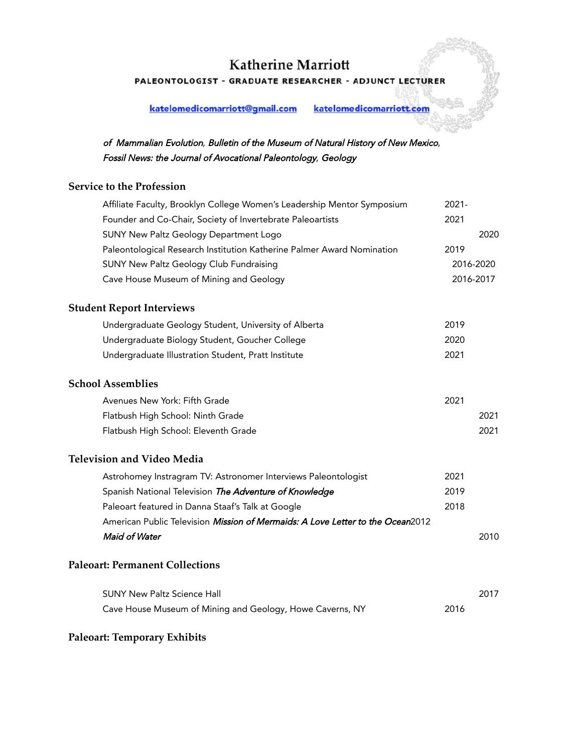PALEONTOLOGIST - GRADUATE RESEARCHER - ADJUNCT LECTURER

katelomedicomarriott@gmail.com katelomedicomarriott.com

of Mammalian Evolution, Bulletin of the Museum of Natural History of New Mexico, Fossil News: the Journal of Avocational Paleontology, Geology

## **Service to the Profession**

| Affiliate Faculty, Brooklyn College Women's Leadership Mentor Symposium        | $2021 -$  |           |
|--------------------------------------------------------------------------------|-----------|-----------|
| Founder and Co-Chair, Society of Invertebrate Paleoartists                     | 2021      |           |
| <b>SUNY New Paltz Geology Department Logo</b>                                  |           | 2020      |
| Paleontological Research Institution Katherine Palmer Award Nomination         | 2019      |           |
| <b>SUNY New Paltz Geology Club Fundraising</b>                                 |           | 2016-2020 |
| Cave House Museum of Mining and Geology                                        | 2016-2017 |           |
| <b>Student Report Interviews</b>                                               |           |           |
| Undergraduate Geology Student, University of Alberta                           | 2019      |           |
| Undergraduate Biology Student, Goucher College                                 | 2020      |           |
| Undergraduate Illustration Student, Pratt Institute                            | 2021      |           |
| <b>School Assemblies</b>                                                       |           |           |
| Avenues New York: Fifth Grade                                                  | 2021      |           |
| Flatbush High School: Ninth Grade                                              |           | 2021      |
| Flatbush High School: Eleventh Grade                                           |           | 2021      |
| <b>Television and Video Media</b>                                              |           |           |
| Astrohomey Instragram TV: Astronomer Interviews Paleontologist                 | 2021      |           |
| Spanish National Television The Adventure of Knowledge                         | 2019      |           |
| Paleoart featured in Danna Staaf's Talk at Google                              | 2018      |           |
| American Public Television Mission of Mermaids: A Love Letter to the Ocean2012 |           |           |
| Maid of Water                                                                  |           | 2010      |
| <b>Paleoart: Permanent Collections</b>                                         |           |           |
| <b>SUNY New Paltz Science Hall</b>                                             |           | 2017      |
| Cave House Museum of Mining and Geology, Howe Caverns, NY                      | 2016      |           |

### **Paleoart: Temporary Exhibits**